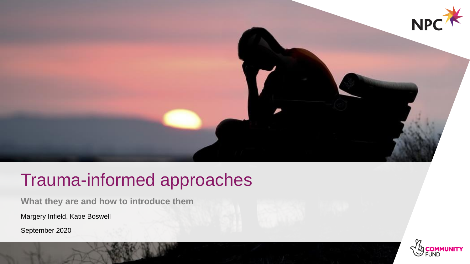

# Trauma-informed approaches

**What they are and how to introduce them**

Margery Infield, Katie Boswell

September 2020

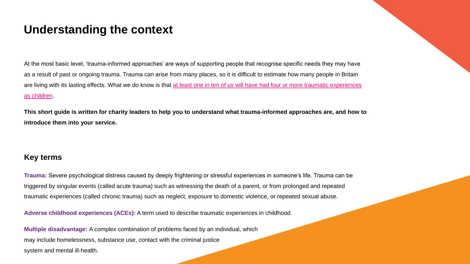### **Understanding the context**

At the most basic level, 'trauma-informed approaches' are ways of supporting people that recognise specific needs they may have as a result of past or ongoing trauma. Trauma can arise from many places, so it is difficult to estimate how many people in Britain are living with its lasting effects. What we do know is that at least one in ten of us will have had four or more traumatic experiences as children.

**This short guide is written for charity leaders to help you to understand what trauma-informed approaches are, and how to introduce them into your service.**

#### **Key terms**

**Trauma:** Severe psychological distress caused by deeply frightening or stressful experiences in someone's life. Trauma can be triggered by singular events (called acute trauma) such as witnessing the death of a parent, or from prolonged and repeated traumatic experiences (called chronic trauma) such as neglect, exposure to domestic violence, or repeated sexual abuse.

**Adverse childhood experiences (ACEs):** A term used to describe traumatic experiences in childhood.

**Multiple disadvantage:** A complex combination of problems faced by an individual, which may include homelessness, substance use, contact with the criminal justice system and mental ill-health.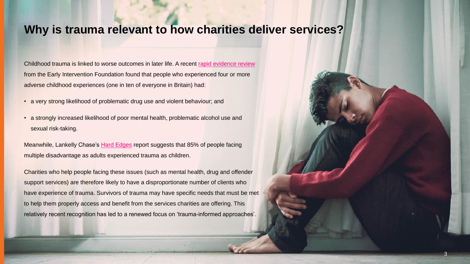# **Why is trauma relevant to how charities deliver services?**

Childhood trauma is linked to worse outcomes in later life. A recent [rapid evidence review](https://www.eif.org.uk/files/pdf/adverse-childhood-experiences-report.pdf) from the Early Intervention Foundation found that people who experienced four or more adverse childhood experiences (one in ten of everyone in Britain) had:

- a very strong likelihood of problematic drug use and violent behaviour; and
- a strongly increased likelihood of poor mental health, problematic alcohol use and sexual risk-taking.

Meanwhile, Lankelly Chase's [Hard Edges](https://lankellychase.org.uk/wp-content/uploads/2015/07/Hard-Edges-Mapping-SMD-2015.pdf) report suggests that 85% of people facing multiple disadvantage as adults experienced trauma as children.

Charities who help people facing these issues (such as mental health, drug and offender support services) are therefore likely to have a disproportionate number of clients who have experience of trauma. Survivors of trauma may have specific needs that must be met to help them properly access and benefit from the services charities are offering. This relatively recent recognition has led to a renewed focus on 'trauma-informed approaches'.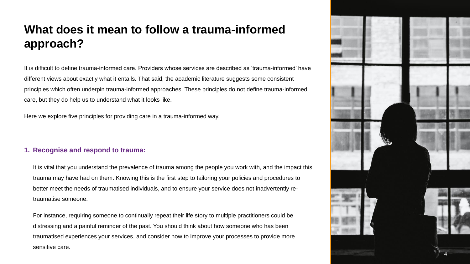# **What does it mean to follow a trauma-informed approach?**

It is difficult to define trauma-informed care. Providers whose services are described as 'trauma-informed' have different views about exactly what it entails. That said, the academic literature suggests some consistent principles which often underpin trauma-informed approaches. These principles do not define trauma-informed care, but they do help us to understand what it looks like.

Here we explore five principles for providing care in a trauma-informed way.

#### **1. Recognise and respond to trauma:**

It is vital that you understand the prevalence of trauma among the people you work with, and the impact this trauma may have had on them. Knowing this is the first step to tailoring your policies and procedures to better meet the needs of traumatised individuals, and to ensure your service does not inadvertently retraumatise someone.

For instance, requiring someone to continually repeat their life story to multiple practitioners could be distressing and a painful reminder of the past. You should think about how someone who has been traumatised experiences your services, and consider how to improve your processes to provide more sensitive care.

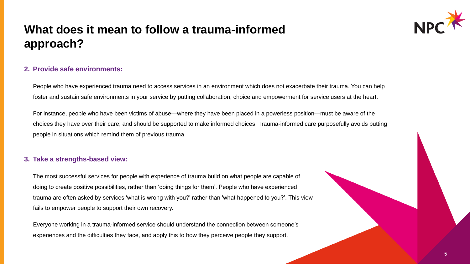# **What does it mean to follow a trauma-informed approach?**



People who have experienced trauma need to access services in an environment which does not exacerbate their trauma. You can help foster and sustain safe environments in your service by putting collaboration, choice and empowerment for service users at the heart.

For instance, people who have been victims of abuse—where they have been placed in a powerless position—must be aware of the choices they have over their care, and should be supported to make informed choices. Trauma-informed care purposefully avoids putting people in situations which remind them of previous trauma.

#### **3. Take a strengths-based view:**

The most successful services for people with experience of trauma build on what people are capable of doing to create positive possibilities, rather than 'doing things for them'. People who have experienced trauma are often asked by services 'what is wrong with you?' rather than 'what happened to you?'. This view fails to empower people to support their own recovery.

Everyone working in a trauma-informed service should understand the connection between someone's experiences and the difficulties they face, and apply this to how they perceive people they support.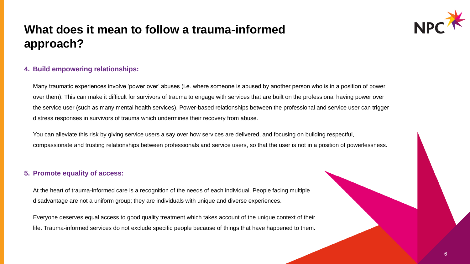# **What does it mean to follow a trauma-informed approach?**



#### **4. Build empowering relationships:**

Many traumatic experiences involve 'power over' abuses (i.e. where someone is abused by another person who is in a position of power over them). This can make it difficult for survivors of trauma to engage with services that are built on the professional having power over the service user (such as many mental health services). Power-based relationships between the professional and service user can trigger distress responses in survivors of trauma which undermines their recovery from abuse.

You can alleviate this risk by giving service users a say over how services are delivered, and focusing on building respectful, compassionate and trusting relationships between professionals and service users, so that the user is not in a position of powerlessness.

#### **5. Promote equality of access:**

At the heart of trauma-informed care is a recognition of the needs of each individual. People facing multiple disadvantage are not a uniform group; they are individuals with unique and diverse experiences.

Everyone deserves equal access to good quality treatment which takes account of the unique context of their life. Trauma-informed services do not exclude specific people because of things that have happened to them.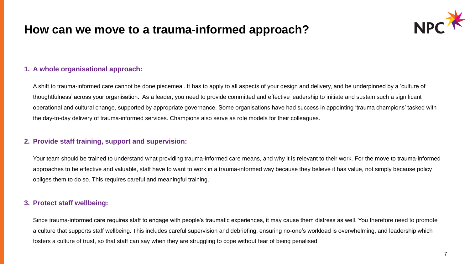## **How can we move to a trauma-informed approach?**



#### **1. A whole organisational approach:**

A shift to trauma-informed care cannot be done piecemeal. It has to apply to all aspects of your design and delivery, and be underpinned by a 'culture of thoughtfulness' across your organisation. As a leader, you need to provide committed and effective leadership to initiate and sustain such a significant operational and cultural change, supported by appropriate governance. Some organisations have had success in appointing 'trauma champions' tasked with the day-to-day delivery of trauma-informed services. Champions also serve as role models for their colleagues.

#### **2. Provide staff training, support and supervision:**

Your team should be trained to understand what providing trauma-informed care means, and why it is relevant to their work. For the move to trauma-informed approaches to be effective and valuable, staff have to want to work in a trauma-informed way because they believe it has value, not simply because policy obliges them to do so. This requires careful and meaningful training.

#### **3. Protect staff wellbeing:**

Since trauma-informed care requires staff to engage with people's traumatic experiences, it may cause them distress as well. You therefore need to promote a culture that supports staff wellbeing. This includes careful supervision and debriefing, ensuring no-one's workload is overwhelming, and leadership which fosters a culture of trust, so that staff can say when they are struggling to cope without fear of being penalised.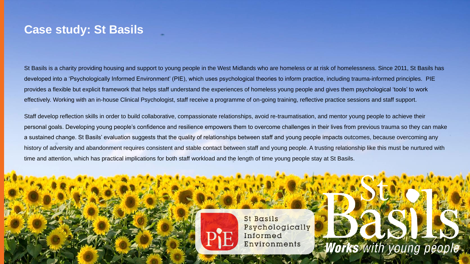### **Case study: St Basils**

St Basils is a charity providing housing and support to young people in the West Midlands who are homeless or at risk of homelessness. Since 2011, St Basils has developed into a 'Psychologically Informed Environment' (PIE), which uses psychological theories to inform practice, including trauma-informed principles. PIE provides a flexible but explicit framework that helps staff understand the experiences of homeless young people and gives them psychological 'tools' to work effectively. Working with an in-house Clinical Psychologist, staff receive a programme of on-going training, reflective practice sessions and staff support.

Staff develop reflection skills in order to build collaborative, compassionate relationships, avoid re-traumatisation, and mentor young people to achieve their personal goals. Developing young people's confidence and resilience empowers them to overcome challenges in their lives from previous trauma so they can make a sustained change. St Basils' evaluation suggests that the quality of relationships between staff and young people impacts outcomes, because overcoming any history of adversity and abandonment requires consistent and stable contact between staff and young people. A trusting relationship like this must be nurtured with time and attention, which has practical implications for both staff workload and the length of time young people stay at St Basils.



St Basils Psychologically Informed Environments

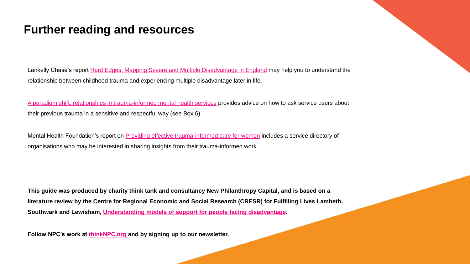### **Further reading and resources**

Lankelly Chase's report [Hard Edges: Mapping Severe and Multiple Disadvantage in England](https://lankellychase.org.uk/wp-content/uploads/2015/07/Hard-Edges-Mapping-SMD-2015.pdf) may help you to understand the relationship between childhood trauma and experiencing multiple disadvantage later in life.

[A paradigm shift: relationships in trauma-informed mental health services](https://www.ncbi.nlm.nih.gov/pmc/articles/PMC6088388/) provides advice on how to ask service users about their previous trauma in a sensitive and respectful way (see Box 6).

Mental Health Foundation's report on [Providing effective trauma-informed care for women](https://www.mentalhealth.org.uk/sites/default/files/Engaging_With_Complexity..pdf) includes a service directory of organisations who may be interested in sharing insights from their trauma-informed work.

**This guide was produced by charity think tank and consultancy New Philanthropy Capital, and is based on a literature review by the Centre for Regional Economic and Social Research (CRESR) for Fulfilling Lives Lambeth, Southwark and Lewisham, [Understanding models of support for people facing disadvantage.](https://www4.shu.ac.uk/research/cresr/sites/shu.ac.uk/files/understanding-models-support-multiple-disadvantage-literature-review.pdf)**

**Follow NPC's work at [thinkNPC.org a](https://www.thinknpc.org/)nd by signing up to our newsletter.**